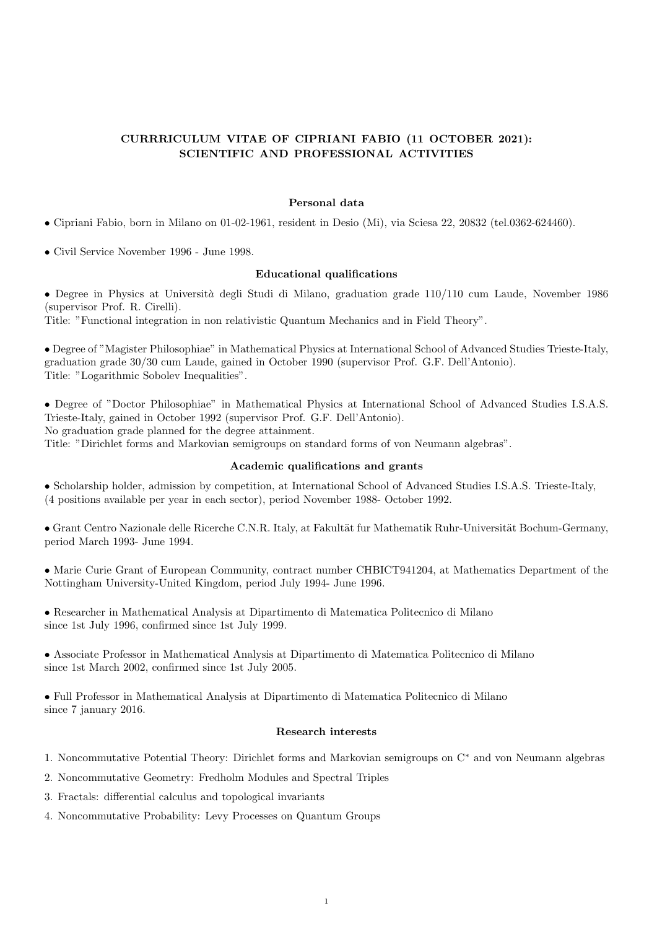# CURRRICULUM VITAE OF CIPRIANI FABIO (11 OCTOBER 2021): SCIENTIFIC AND PROFESSIONAL ACTIVITIES

#### Personal data

• Cipriani Fabio, born in Milano on 01-02-1961, resident in Desio (Mi), via Sciesa 22, 20832 (tel.0362-624460).

• Civil Service November 1996 - June 1998.

#### Educational qualifications

• Degree in Physics at Università degli Studi di Milano, graduation grade 110/110 cum Laude, November 1986 (supervisor Prof. R. Cirelli).

Title: "Functional integration in non relativistic Quantum Mechanics and in Field Theory".

• Degree of "Magister Philosophiae" in Mathematical Physics at International School of Advanced Studies Trieste-Italy, graduation grade 30/30 cum Laude, gained in October 1990 (supervisor Prof. G.F. Dell'Antonio). Title: "Logarithmic Sobolev Inequalities".

• Degree of "Doctor Philosophiae" in Mathematical Physics at International School of Advanced Studies I.S.A.S. Trieste-Italy, gained in October 1992 (supervisor Prof. G.F. Dell'Antonio). No graduation grade planned for the degree attainment.

Title: "Dirichlet forms and Markovian semigroups on standard forms of von Neumann algebras".

## Academic qualifications and grants

• Scholarship holder, admission by competition, at International School of Advanced Studies I.S.A.S. Trieste-Italy, (4 positions available per year in each sector), period November 1988- October 1992.

• Grant Centro Nazionale delle Ricerche C.N.R. Italy, at Fakultät fur Mathematik Ruhr-Universität Bochum-Germany, period March 1993- June 1994.

• Marie Curie Grant of European Community, contract number CHBICT941204, at Mathematics Department of the Nottingham University-United Kingdom, period July 1994- June 1996.

• Researcher in Mathematical Analysis at Dipartimento di Matematica Politecnico di Milano since 1st July 1996, confirmed since 1st July 1999.

• Associate Professor in Mathematical Analysis at Dipartimento di Matematica Politecnico di Milano since 1st March 2002, confirmed since 1st July 2005.

• Full Professor in Mathematical Analysis at Dipartimento di Matematica Politecnico di Milano since 7 january 2016.

## Research interests

- 1. Noncommutative Potential Theory: Dirichlet forms and Markovian semigroups on C<sup>∗</sup> and von Neumann algebras
- 2. Noncommutative Geometry: Fredholm Modules and Spectral Triples
- 3. Fractals: differential calculus and topological invariants
- 4. Noncommutative Probability: Levy Processes on Quantum Groups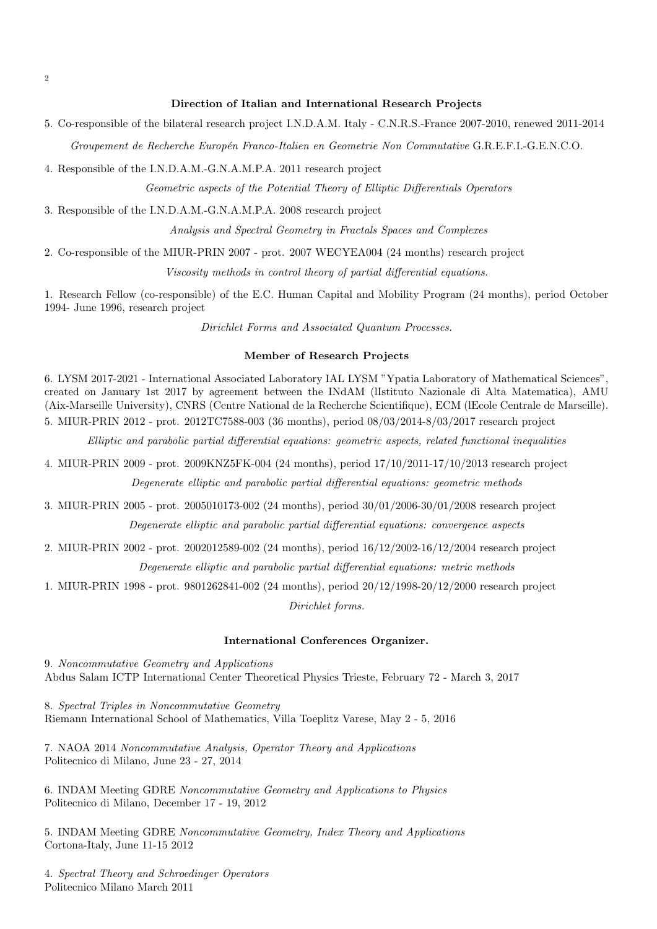### Direction of Italian and International Research Projects

5. Co-responsible of the bilateral research project I.N.D.A.M. Italy - C.N.R.S.-France 2007-2010, renewed 2011-2014 Groupement de Recherche Europ´en Franco-Italien en Geometrie Non Commutative G.R.E.F.I.-G.E.N.C.O.

4. Responsible of the I.N.D.A.M.-G.N.A.M.P.A. 2011 research project

Geometric aspects of the Potential Theory of Elliptic Differentials Operators

3. Responsible of the I.N.D.A.M.-G.N.A.M.P.A. 2008 research project

Analysis and Spectral Geometry in Fractals Spaces and Complexes

2. Co-responsible of the MIUR-PRIN 2007 - prot. 2007 WECYEA004 (24 months) research project

Viscosity methods in control theory of partial differential equations.

1. Research Fellow (co-responsible) of the E.C. Human Capital and Mobility Program (24 months), period October 1994- June 1996, research project

Dirichlet Forms and Associated Quantum Processes.

#### Member of Research Projects

6. LYSM 2017-2021 - International Associated Laboratory IAL LYSM "Ypatia Laboratory of Mathematical Sciences", created on January 1st 2017 by agreement between the INdAM (lIstituto Nazionale di Alta Matematica), AMU (Aix-Marseille University), CNRS (Centre National de la Recherche Scientifique), ECM (lEcole Centrale de Marseille). 5. MIUR-PRIN 2012 - prot. 2012TC7588-003 (36 months), period 08/03/2014-8/03/2017 research project

Elliptic and parabolic partial differential equations: geometric aspects, related functional inequalities

4. MIUR-PRIN 2009 - prot. 2009KNZ5FK-004 (24 months), period 17/10/2011-17/10/2013 research project Degenerate elliptic and parabolic partial differential equations: geometric methods

3. MIUR-PRIN 2005 - prot. 2005010173-002 (24 months), period 30/01/2006-30/01/2008 research project Degenerate elliptic and parabolic partial differential equations: convergence aspects

2. MIUR-PRIN 2002 - prot. 2002012589-002 (24 months), period 16/12/2002-16/12/2004 research project

Degenerate elliptic and parabolic partial differential equations: metric methods

1. MIUR-PRIN 1998 - prot. 9801262841-002 (24 months), period 20/12/1998-20/12/2000 research project Dirichlet forms.

#### International Conferences Organizer.

9. Noncommutative Geometry and Applications Abdus Salam ICTP International Center Theoretical Physics Trieste, February 72 - March 3, 2017

8. Spectral Triples in Noncommutative Geometry Riemann International School of Mathematics, Villa Toeplitz Varese, May 2 - 5, 2016

7. NAOA 2014 Noncommutative Analysis, Operator Theory and Applications Politecnico di Milano, June 23 - 27, 2014

6. INDAM Meeting GDRE Noncommutative Geometry and Applications to Physics Politecnico di Milano, December 17 - 19, 2012

5. INDAM Meeting GDRE Noncommutative Geometry, Index Theory and Applications Cortona-Italy, June 11-15 2012

4. Spectral Theory and Schroedinger Operators Politecnico Milano March 2011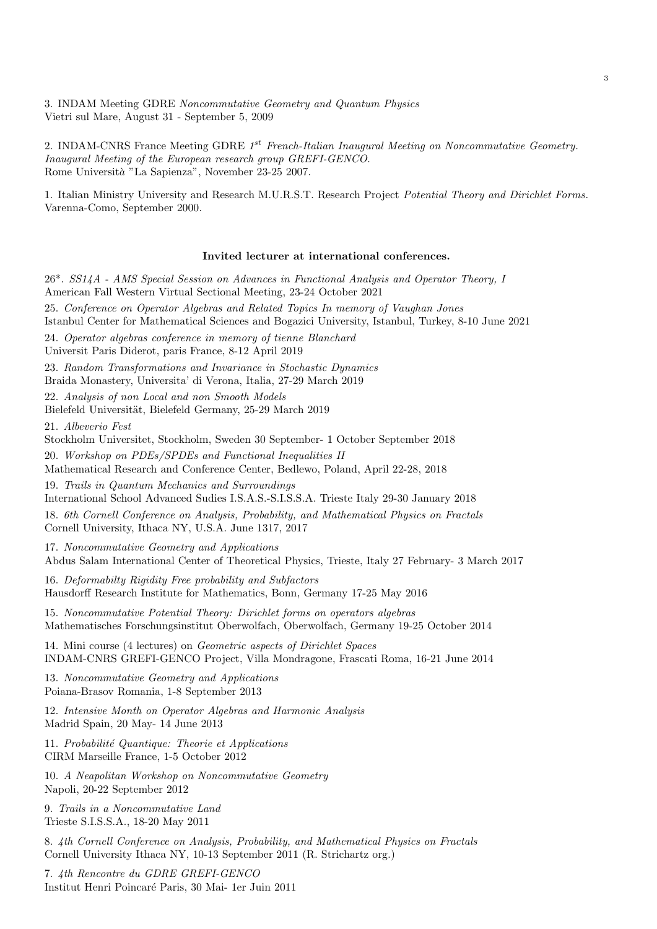3. INDAM Meeting GDRE Noncommutative Geometry and Quantum Physics Vietri sul Mare, August 31 - September 5, 2009

2. INDAM-CNRS France Meeting GDRE  $1^{st}$  French-Italian Inaugural Meeting on Noncommutative Geometry. Inaugural Meeting of the European research group GREFI-GENCO. Rome Università "La Sapienza", November 23-25 2007.

1. Italian Ministry University and Research M.U.R.S.T. Research Project Potential Theory and Dirichlet Forms. Varenna-Como, September 2000.

#### Invited lecturer at international conferences.

| 26 <sup>*</sup> . SS14A - AMS Special Session on Advances in Functional Analysis and Operator Theory, I<br>American Fall Western Virtual Sectional Meeting, 23-24 October 2021           |
|------------------------------------------------------------------------------------------------------------------------------------------------------------------------------------------|
| 25. Conference on Operator Algebras and Related Topics In memory of Vaughan Jones<br>Istanbul Center for Mathematical Sciences and Bogazici University, Istanbul, Turkey, 8-10 June 2021 |
| 24. Operator algebras conference in memory of tienne Blanchard<br>Universit Paris Diderot, paris France, 8-12 April 2019                                                                 |
| 23. Random Transformations and Invariance in Stochastic Dynamics<br>Braida Monastery, Universita' di Verona, Italia, 27-29 March 2019                                                    |
| 22. Analysis of non Local and non Smooth Models<br>Bielefeld Universität, Bielefeld Germany, 25-29 March 2019                                                                            |
| 21. Albeverio Fest<br>Stockholm Universitet, Stockholm, Sweden 30 September- 1 October September 2018                                                                                    |
| 20. Workshop on PDEs/SPDEs and Functional Inequalities II<br>Mathematical Research and Conference Center, Bedlewo, Poland, April 22-28, 2018                                             |
| 19. Trails in Quantum Mechanics and Surroundings<br>International School Advanced Sudies I.S.A.S.-S.I.S.S.A. Trieste Italy 29-30 January 2018                                            |
| 18. 6th Cornell Conference on Analysis, Probability, and Mathematical Physics on Fractals<br>Cornell University, Ithaca NY, U.S.A. June 1317, 2017                                       |
| 17. Noncommutative Geometry and Applications<br>Abdus Salam International Center of Theoretical Physics, Trieste, Italy 27 February- 3 March 2017                                        |
| 16. Deformabilty Rigidity Free probability and Subfactors<br>Hausdorff Research Institute for Mathematics, Bonn, Germany 17-25 May 2016                                                  |
| 15. Noncommutative Potential Theory: Dirichlet forms on operators algebras<br>Mathematisches Forschungsinstitut Oberwolfach, Oberwolfach, Germany 19-25 October 2014                     |
| 14. Mini course (4 lectures) on <i>Geometric aspects of Dirichlet Spaces</i><br>INDAM-CNRS GREFI-GENCO Project, Villa Mondragone, Frascati Roma, 16-21 June 2014                         |
| 13. Noncommutative Geometry and Applications<br>Poiana-Brasov Romania, 1-8 September 2013                                                                                                |
| 12. Intensive Month on Operator Algebras and Harmonic Analysis<br>Madrid Spain, 20 May-14 June 2013                                                                                      |
| 11. Probabilité Quantique: Theorie et Applications<br>CIRM Marseille France, 1-5 October 2012                                                                                            |
| 10. A Neapolitan Workshop on Noncommutative Geometry<br>Napoli, 20-22 September 2012                                                                                                     |
| 9. Trails in a Noncommutative Land<br>Trieste S.I.S.S.A., 18-20 May 2011                                                                                                                 |

8. 4th Cornell Conference on Analysis, Probability, and Mathematical Physics on Fractals Cornell University Ithaca NY, 10-13 September 2011 (R. Strichartz org.)

7. 4th Rencontre du GDRE GREFI-GENCO Institut Henri Poincar´e Paris, 30 Mai- 1er Juin 2011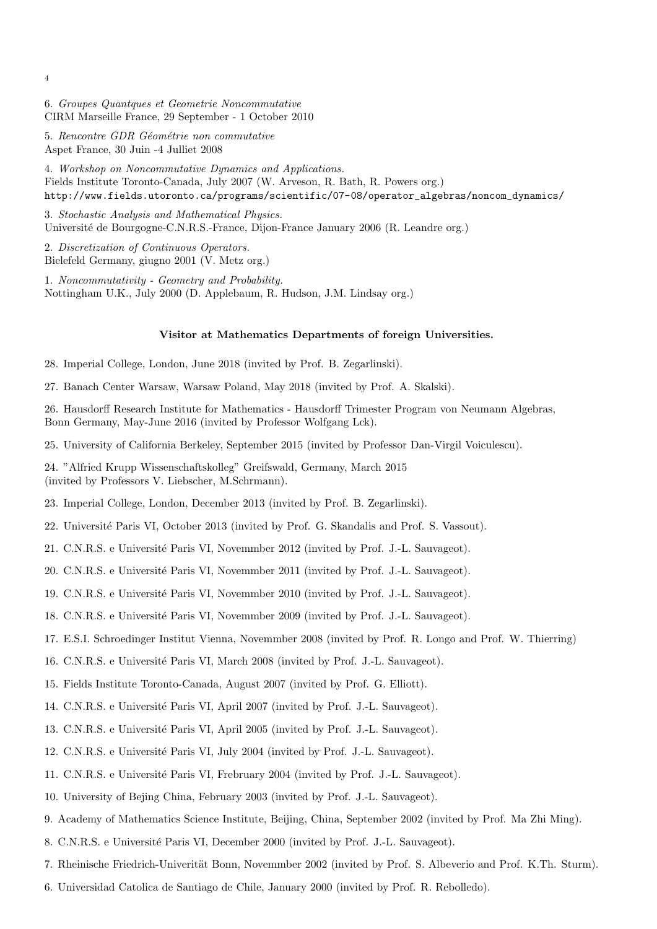6. Groupes Quantques et Geometrie Noncommutative CIRM Marseille France, 29 September - 1 October 2010

5. Rencontre GDR Géométrie non commutative Aspet France, 30 Juin -4 Julliet 2008

4. Workshop on Noncommutative Dynamics and Applications. Fields Institute Toronto-Canada, July 2007 (W. Arveson, R. Bath, R. Powers org.) http://www.fields.utoronto.ca/programs/scientific/07-08/operator\_algebras/noncom\_dynamics/

3. Stochastic Analysis and Mathematical Physics. Université de Bourgogne-C.N.R.S.-France, Dijon-France January 2006 (R. Leandre org.)

2. Discretization of Continuous Operators. Bielefeld Germany, giugno 2001 (V. Metz org.)

1. Noncommutativity - Geometry and Probability. Nottingham U.K., July 2000 (D. Applebaum, R. Hudson, J.M. Lindsay org.)

#### Visitor at Mathematics Departments of foreign Universities.

28. Imperial College, London, June 2018 (invited by Prof. B. Zegarlinski).

27. Banach Center Warsaw, Warsaw Poland, May 2018 (invited by Prof. A. Skalski).

26. Hausdorff Research Institute for Mathematics - Hausdorff Trimester Program von Neumann Algebras, Bonn Germany, May-June 2016 (invited by Professor Wolfgang Lck).

25. University of California Berkeley, September 2015 (invited by Professor Dan-Virgil Voiculescu).

24. "Alfried Krupp Wissenschaftskolleg" Greifswald, Germany, March 2015 (invited by Professors V. Liebscher, M.Schrmann).

23. Imperial College, London, December 2013 (invited by Prof. B. Zegarlinski).

22. Université Paris VI, October 2013 (invited by Prof. G. Skandalis and Prof. S. Vassout).

21. C.N.R.S. e Université Paris VI, Novemmber 2012 (invited by Prof. J.-L. Sauvageot).

20. C.N.R.S. e Université Paris VI, Novemmber 2011 (invited by Prof. J.-L. Sauvageot).

19. C.N.R.S. e Université Paris VI, Novemmber 2010 (invited by Prof. J.-L. Sauvageot).

18. C.N.R.S. e Université Paris VI, Novemmber 2009 (invited by Prof. J.-L. Sauvageot).

17. E.S.I. Schroedinger Institut Vienna, Novemmber 2008 (invited by Prof. R. Longo and Prof. W. Thierring)

16. C.N.R.S. e Universit´e Paris VI, March 2008 (invited by Prof. J.-L. Sauvageot).

15. Fields Institute Toronto-Canada, August 2007 (invited by Prof. G. Elliott).

- 14. C.N.R.S. e Université Paris VI, April 2007 (invited by Prof. J.-L. Sauvageot).
- 13. C.N.R.S. e Université Paris VI, April 2005 (invited by Prof. J.-L. Sauvageot).
- 12. C.N.R.S. e Université Paris VI, July 2004 (invited by Prof. J.-L. Sauvageot).
- 11. C.N.R.S. e Universit´e Paris VI, Frebruary 2004 (invited by Prof. J.-L. Sauvageot).
- 10. University of Bejing China, February 2003 (invited by Prof. J.-L. Sauvageot).
- 9. Academy of Mathematics Science Institute, Beijing, China, September 2002 (invited by Prof. Ma Zhi Ming).
- 8. C.N.R.S. e Université Paris VI, December 2000 (invited by Prof. J.-L. Sauvageot).
- 7. Rheinische Friedrich-Univerität Bonn, Novemmber 2002 (invited by Prof. S. Albeverio and Prof. K.Th. Sturm).
- 6. Universidad Catolica de Santiago de Chile, January 2000 (invited by Prof. R. Rebolledo).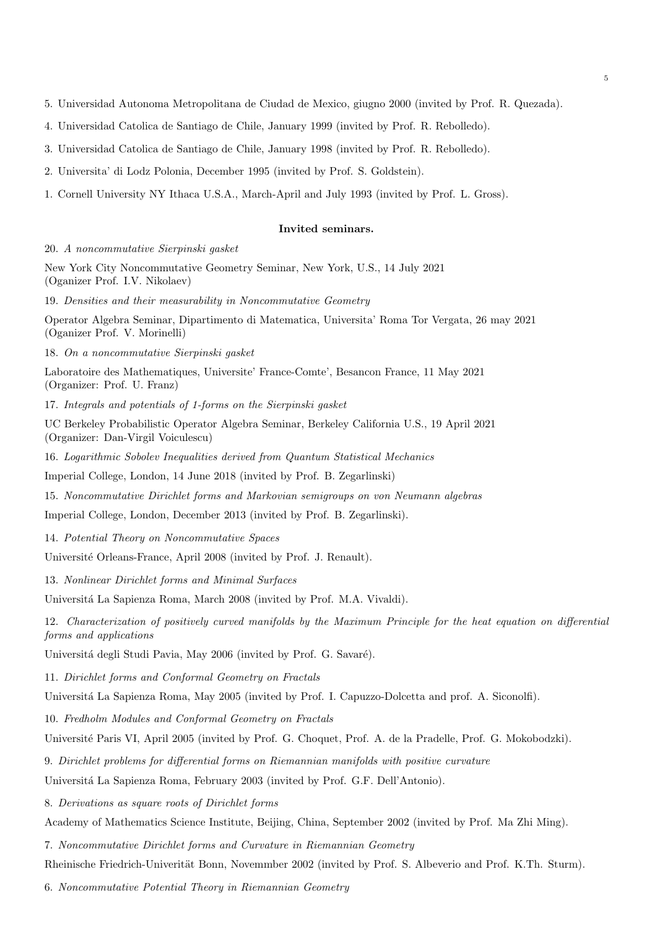- 5. Universidad Autonoma Metropolitana de Ciudad de Mexico, giugno 2000 (invited by Prof. R. Quezada).
- 4. Universidad Catolica de Santiago de Chile, January 1999 (invited by Prof. R. Rebolledo).
- 3. Universidad Catolica de Santiago de Chile, January 1998 (invited by Prof. R. Rebolledo).
- 2. Universita' di Lodz Polonia, December 1995 (invited by Prof. S. Goldstein).
- 1. Cornell University NY Ithaca U.S.A., March-April and July 1993 (invited by Prof. L. Gross).

#### Invited seminars.

20. A noncommutative Sierpinski gasket

New York City Noncommutative Geometry Seminar, New York, U.S., 14 July 2021 (Oganizer Prof. I.V. Nikolaev)

19. Densities and their measurability in Noncommutative Geometry

Operator Algebra Seminar, Dipartimento di Matematica, Universita' Roma Tor Vergata, 26 may 2021 (Oganizer Prof. V. Morinelli)

18. On a noncommutative Sierpinski gasket

Laboratoire des Mathematiques, Universite' France-Comte', Besancon France, 11 May 2021 (Organizer: Prof. U. Franz)

17. Integrals and potentials of 1-forms on the Sierpinski gasket

UC Berkeley Probabilistic Operator Algebra Seminar, Berkeley California U.S., 19 April 2021 (Organizer: Dan-Virgil Voiculescu)

16. Logarithmic Sobolev Inequalities derived from Quantum Statistical Mechanics

Imperial College, London, 14 June 2018 (invited by Prof. B. Zegarlinski)

15. Noncommutative Dirichlet forms and Markovian semigroups on von Neumann algebras

Imperial College, London, December 2013 (invited by Prof. B. Zegarlinski).

14. Potential Theory on Noncommutative Spaces

Université Orleans-France, April 2008 (invited by Prof. J. Renault).

13. Nonlinear Dirichlet forms and Minimal Surfaces

Universitá La Sapienza Roma, March 2008 (invited by Prof. M.A. Vivaldi).

12. Characterization of positively curved manifolds by the Maximum Principle for the heat equation on differential forms and applications

Universitá degli Studi Pavia, May 2006 (invited by Prof. G. Savaré).

11. Dirichlet forms and Conformal Geometry on Fractals

Universitá La Sapienza Roma, May 2005 (invited by Prof. I. Capuzzo-Dolcetta and prof. A. Siconolfi).

10. Fredholm Modules and Conformal Geometry on Fractals

Université Paris VI, April 2005 (invited by Prof. G. Choquet, Prof. A. de la Pradelle, Prof. G. Mokobodzki).

9. Dirichlet problems for differential forms on Riemannian manifolds with positive curvature

Universit´a La Sapienza Roma, February 2003 (invited by Prof. G.F. Dell'Antonio).

8. Derivations as square roots of Dirichlet forms

Academy of Mathematics Science Institute, Beijing, China, September 2002 (invited by Prof. Ma Zhi Ming).

7. Noncommutative Dirichlet forms and Curvature in Riemannian Geometry

Rheinische Friedrich-Univerität Bonn, Novemmber 2002 (invited by Prof. S. Albeverio and Prof. K.Th. Sturm).

6. Noncommutative Potential Theory in Riemannian Geometry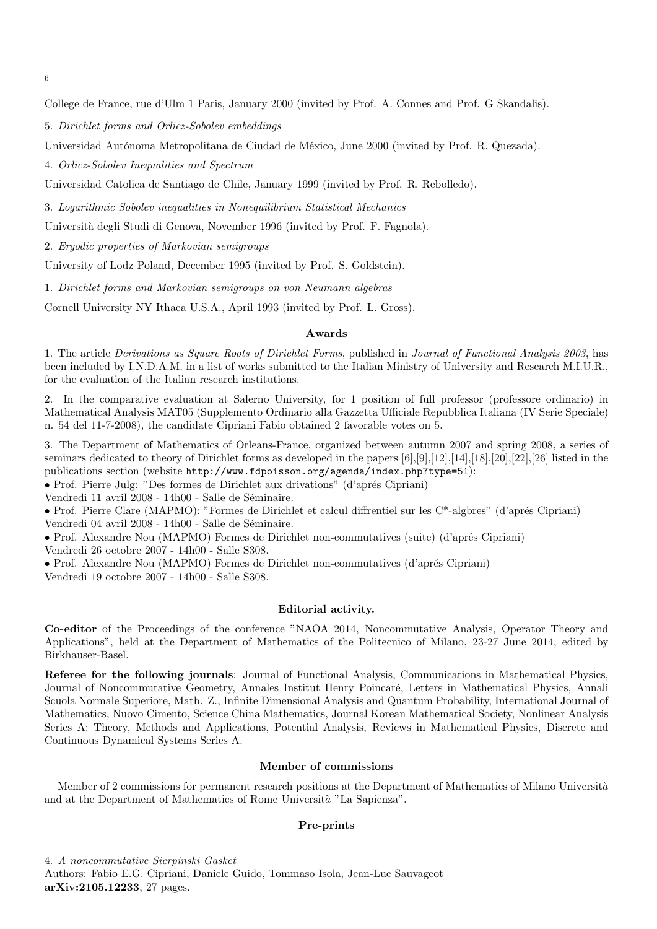6

College de France, rue d'Ulm 1 Paris, January 2000 (invited by Prof. A. Connes and Prof. G Skandalis).

5. Dirichlet forms and Orlicz-Sobolev embeddings

Universidad Autónoma Metropolitana de Ciudad de México, June 2000 (invited by Prof. R. Quezada).

4. Orlicz-Sobolev Inequalities and Spectrum

Universidad Catolica de Santiago de Chile, January 1999 (invited by Prof. R. Rebolledo).

3. Logarithmic Sobolev inequalities in Nonequilibrium Statistical Mechanics

Universit`a degli Studi di Genova, November 1996 (invited by Prof. F. Fagnola).

2. Ergodic properties of Markovian semigroups

University of Lodz Poland, December 1995 (invited by Prof. S. Goldstein).

1. Dirichlet forms and Markovian semigroups on von Neumann algebras

Cornell University NY Ithaca U.S.A., April 1993 (invited by Prof. L. Gross).

#### Awards

1. The article Derivations as Square Roots of Dirichlet Forms, published in Journal of Functional Analysis 2003, has been included by I.N.D.A.M. in a list of works submitted to the Italian Ministry of University and Research M.I.U.R., for the evaluation of the Italian research institutions.

2. In the comparative evaluation at Salerno University, for 1 position of full professor (professore ordinario) in Mathematical Analysis MAT05 (Supplemento Ordinario alla Gazzetta Ufficiale Repubblica Italiana (IV Serie Speciale) n. 54 del 11-7-2008), the candidate Cipriani Fabio obtained 2 favorable votes on 5.

3. The Department of Mathematics of Orleans-France, organized between autumn 2007 and spring 2008, a series of seminars dedicated to theory of Dirichlet forms as developed in the papers [6],[9],[12],[14],[18],[20],[22],[26] listed in the publications section (website http://www.fdpoisson.org/agenda/index.php?type=51):

• Prof. Pierre Julg: "Des formes de Dirichlet aux drivations" (d'aprés Cipriani)

Vendredi 11 avril 2008 - 14h00 - Salle de Séminaire.

• Prof. Pierre Clare (MAPMO): "Formes de Dirichlet et calcul diffrentiel sur les C\*-algbres" (d'aprés Cipriani) Vendredi $04$ avril 2008 - 14h00 - Salle de Séminaire.

• Prof. Alexandre Nou (MAPMO) Formes de Dirichlet non-commutatives (suite) (d'aprés Cipriani) Vendredi 26 octobre 2007 - 14h00 - Salle S308.

• Prof. Alexandre Nou (MAPMO) Formes de Dirichlet non-commutatives (d'aprés Cipriani)

Vendredi 19 octobre 2007 - 14h00 - Salle S308.

#### Editorial activity.

Co-editor of the Proceedings of the conference "NAOA 2014, Noncommutative Analysis, Operator Theory and Applications", held at the Department of Mathematics of the Politecnico of Milano, 23-27 June 2014, edited by Birkhauser-Basel.

Referee for the following journals: Journal of Functional Analysis, Communications in Mathematical Physics, Journal of Noncommutative Geometry, Annales Institut Henry Poincaré, Letters in Mathematical Physics, Annali Scuola Normale Superiore, Math. Z., Infinite Dimensional Analysis and Quantum Probability, International Journal of Mathematics, Nuovo Cimento, Science China Mathematics, Journal Korean Mathematical Society, Nonlinear Analysis Series A: Theory, Methods and Applications, Potential Analysis, Reviews in Mathematical Physics, Discrete and Continuous Dynamical Systems Series A.

#### Member of commissions

Member of 2 commissions for permanent research positions at the Department of Mathematics of Milano Università and at the Department of Mathematics of Rome Università "La Sapienza".

#### Pre-prints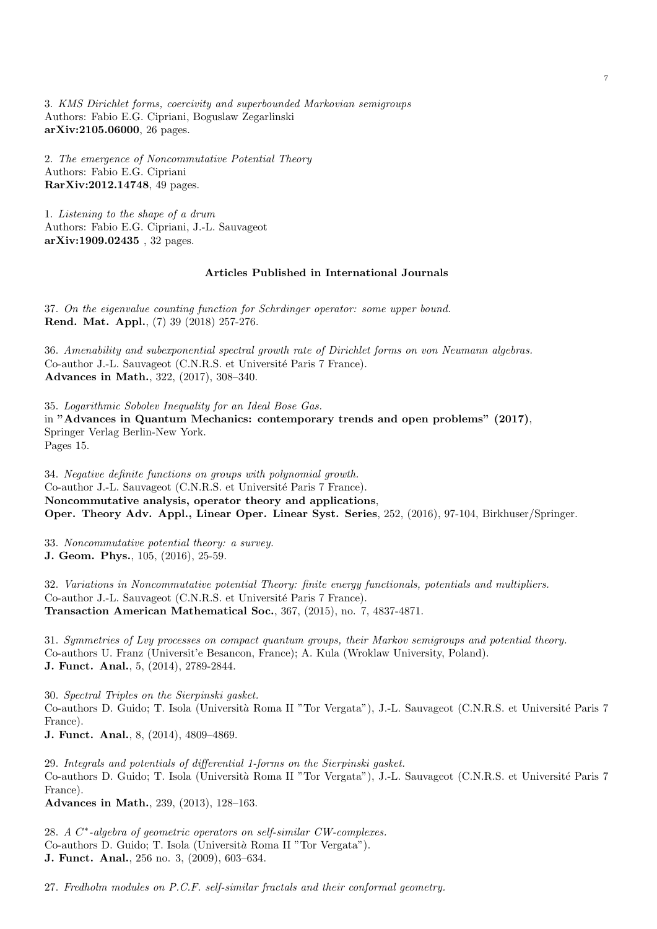3. KMS Dirichlet forms, coercivity and superbounded Markovian semigroups Authors: Fabio E.G. Cipriani, Boguslaw Zegarlinski arXiv:2105.06000, 26 pages.

2. The emergence of Noncommutative Potential Theory Authors: Fabio E.G. Cipriani RarXiv:2012.14748, 49 pages.

1. Listening to the shape of a drum Authors: Fabio E.G. Cipriani, J.-L. Sauvageot arXiv:1909.02435 , 32 pages.

## Articles Published in International Journals

37. On the eigenvalue counting function for Schrdinger operator: some upper bound. Rend. Mat. Appl., (7) 39 (2018) 257-276.

36. Amenability and subexponential spectral growth rate of Dirichlet forms on von Neumann algebras. Co-author J.-L. Sauvageot (C.N.R.S. et Université Paris 7 France). Advances in Math., 322, (2017), 308–340.

35. Logarithmic Sobolev Inequality for an Ideal Bose Gas. in "Advances in Quantum Mechanics: contemporary trends and open problems" (2017), Springer Verlag Berlin-New York. Pages 15.

34. Negative definite functions on groups with polynomial growth. Co-author J.-L. Sauvageot (C.N.R.S. et Université Paris 7 France). Noncommutative analysis, operator theory and applications, Oper. Theory Adv. Appl., Linear Oper. Linear Syst. Series, 252, (2016), 97-104, Birkhuser/Springer.

33. Noncommutative potential theory: a survey. J. Geom. Phys., 105, (2016), 25-59.

32. Variations in Noncommutative potential Theory: finite energy functionals, potentials and multipliers. Co-author J.-L. Sauvageot (C.N.R.S. et Université Paris 7 France). Transaction American Mathematical Soc., 367, (2015), no. 7, 4837-4871.

31. Symmetries of Lvy processes on compact quantum groups, their Markov semigroups and potential theory. Co-authors U. Franz (Universit'e Besancon, France); A. Kula (Wroklaw University, Poland). J. Funct. Anal., 5, (2014), 2789-2844.

30. Spectral Triples on the Sierpinski gasket. Co-authors D. Guido; T. Isola (Università Roma II "Tor Vergata"), J.-L. Sauvageot (C.N.R.S. et Université Paris 7 France).

J. Funct. Anal., 8, (2014), 4809–4869.

29. Integrals and potentials of differential 1-forms on the Sierpinski gasket. Co-authors D. Guido; T. Isola (Università Roma II "Tor Vergata"), J.-L. Sauvageot (C.N.R.S. et Université Paris 7 France).

Advances in Math., 239, (2013), 128–163.

28. A C<sup>\*</sup>-algebra of geometric operators on self-similar CW-complexes. Co-authors D. Guido; T. Isola (Universit`a Roma II "Tor Vergata"). J. Funct. Anal., 256 no. 3, (2009), 603–634.

27. Fredholm modules on P.C.F. self-similar fractals and their conformal geometry.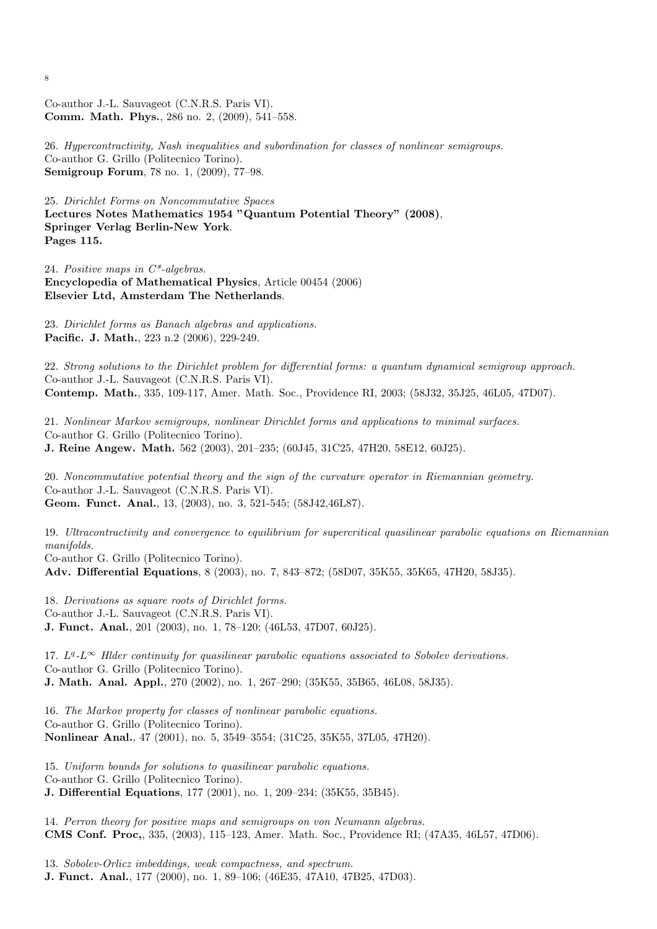Co-author J.-L. Sauvageot (C.N.R.S. Paris VI). Comm. Math. Phys., 286 no. 2, (2009), 541–558.

26. Hypercontractivity, Nash inequalities and subordination for classes of nonlinear semigroups. Co-author G. Grillo (Politecnico Torino). Semigroup Forum, 78 no. 1, (2009), 77–98.

25. Dirichlet Forms on Noncommutative Spaces Lectures Notes Mathematics 1954 "Quantum Potential Theory" (2008), Springer Verlag Berlin-New York. Pages 115.

24. Positive maps in C\*-algebras. Encyclopedia of Mathematical Physics, Article 00454 (2006) Elsevier Ltd, Amsterdam The Netherlands.

23. Dirichlet forms as Banach algebras and applications. Pacific. J. Math., 223 n.2 (2006), 229-249.

22. Strong solutions to the Dirichlet problem for differential forms: a quantum dynamical semigroup approach. Co-author J.-L. Sauvageot (C.N.R.S. Paris VI). Contemp. Math., 335, 109-117, Amer. Math. Soc., Providence RI, 2003; (58J32, 35J25, 46L05, 47D07).

21. Nonlinear Markov semigroups, nonlinear Dirichlet forms and applications to minimal surfaces. Co-author G. Grillo (Politecnico Torino). J. Reine Angew. Math. 562 (2003), 201–235; (60J45, 31C25, 47H20, 58E12, 60J25).

20. Noncommutative potential theory and the sign of the curvature operator in Riemannian geometry. Co-author J.-L. Sauvageot (C.N.R.S. Paris VI). Geom. Funct. Anal., 13, (2003), no. 3, 521-545; (58J42,46L87).

19. Ultracontractivity and convergence to equilibrium for supercritical quasilinear parabolic equations on Riemannian manifolds.

Co-author G. Grillo (Politecnico Torino). Adv. Differential Equations, 8 (2003), no. 7, 843–872; (58D07, 35K55, 35K65, 47H20, 58J35).

18. Derivations as square roots of Dirichlet forms. Co-author J.-L. Sauvageot (C.N.R.S. Paris VI). J. Funct. Anal., 201 (2003), no. 1, 78–120; (46L53, 47D07, 60J25).

17.  $L^q$ - $L^\infty$  Hlder continuity for quasilinear parabolic equations associated to Sobolev derivations. Co-author G. Grillo (Politecnico Torino). J. Math. Anal. Appl., 270 (2002), no. 1, 267–290; (35K55, 35B65, 46L08, 58J35).

16. The Markov property for classes of nonlinear parabolic equations. Co-author G. Grillo (Politecnico Torino). Nonlinear Anal., 47 (2001), no. 5, 3549–3554; (31C25, 35K55, 37L05, 47H20).

15. Uniform bounds for solutions to quasilinear parabolic equations. Co-author G. Grillo (Politecnico Torino). J. Differential Equations, 177 (2001), no. 1, 209–234; (35K55, 35B45).

14. Perron theory for positive maps and semigroups on von Neumann algebras. CMS Conf. Proc,, 335, (2003), 115–123, Amer. Math. Soc., Providence RI; (47A35, 46L57, 47D06).

13. Sobolev-Orlicz imbeddings, weak compactness, and spectrum. J. Funct. Anal., 177 (2000), no. 1, 89–106; (46E35, 47A10, 47B25, 47D03).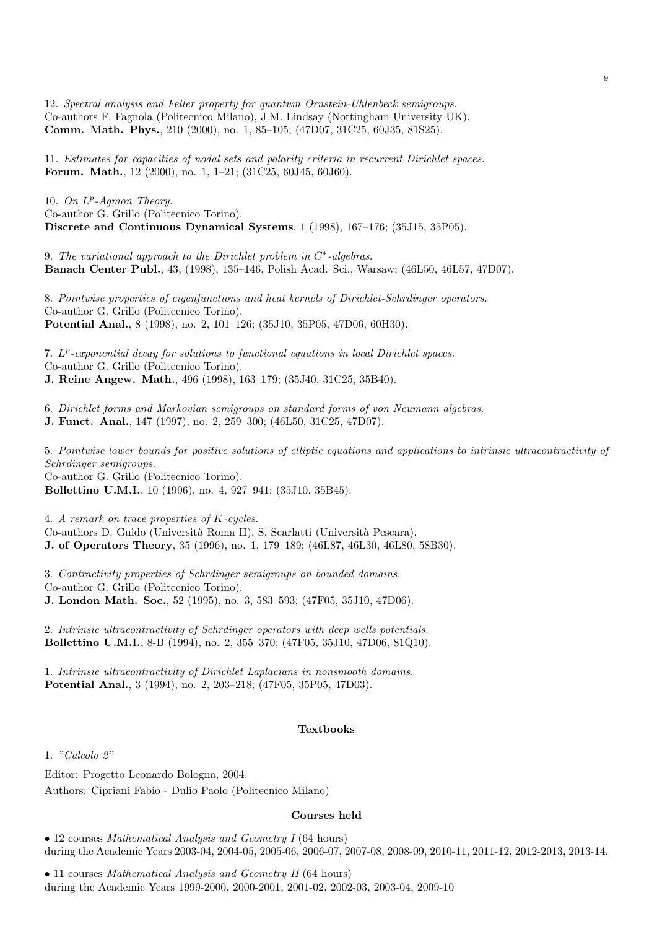12. Spectral analysis and Feller property for quantum Ornstein-Uhlenbeck semigroups. Co-authors F. Fagnola (Politecnico Milano), J.M. Lindsay (Nottingham University UK). Comm. Math. Phys., 210 (2000), no. 1, 85–105; (47D07, 31C25, 60J35, 81S25).

11. Estimates for capacities of nodal sets and polarity criteria in recurrent Dirichlet spaces. Forum. Math., 12 (2000), no. 1, 1–21; (31C25, 60J45, 60J60).

10. On  $L^p$ -Agmon Theory. Co-author G. Grillo (Politecnico Torino). Discrete and Continuous Dynamical Systems, 1 (1998), 167–176; (35J15, 35P05).

9. The variational approach to the Dirichlet problem in  $C^*$ -algebras. Banach Center Publ., 43, (1998), 135–146, Polish Acad. Sci., Warsaw; (46L50, 46L57, 47D07).

8. Pointwise properties of eigenfunctions and heat kernels of Dirichlet-Schrdinger operators. Co-author G. Grillo (Politecnico Torino). Potential Anal., 8 (1998), no. 2, 101–126; (35J10, 35P05, 47D06, 60H30).

7. L<sup>p</sup>-exponential decay for solutions to functional equations in local Dirichlet spaces. Co-author G. Grillo (Politecnico Torino). J. Reine Angew. Math., 496 (1998), 163–179; (35J40, 31C25, 35B40).

6. Dirichlet forms and Markovian semigroups on standard forms of von Neumann algebras.

J. Funct. Anal., 147 (1997), no. 2, 259–300; (46L50, 31C25, 47D07).

5. Pointwise lower bounds for positive solutions of elliptic equations and applications to intrinsic ultracontractivity of Schrdinger semigroups. Co-author G. Grillo (Politecnico Torino). Bollettino U.M.I., 10 (1996), no. 4, 927–941; (35J10, 35B45).

4. A remark on trace properties of K-cycles.

Co-authors D. Guido (Universit`a Roma II), S. Scarlatti (Universit`a Pescara).

J. of Operators Theory, 35 (1996), no. 1, 179–189; (46L87, 46L30, 46L80, 58B30).

3. Contractivity properties of Schrdinger semigroups on bounded domains. Co-author G. Grillo (Politecnico Torino). J. London Math. Soc., 52 (1995), no. 3, 583–593; (47F05, 35J10, 47D06).

2. Intrinsic ultracontractivity of Schrdinger operators with deep wells potentials. Bollettino U.M.I., 8-B (1994), no. 2, 355–370; (47F05, 35J10, 47D06, 81Q10).

1. Intrinsic ultracontractivity of Dirichlet Laplacians in nonsmooth domains. Potential Anal., 3 (1994), no. 2, 203–218; (47F05, 35P05, 47D03).

#### Textbooks

1. "Calcolo 2"

Editor: Progetto Leonardo Bologna, 2004.

Authors: Cipriani Fabio - Dulio Paolo (Politecnico Milano)

#### Courses held

• 12 courses Mathematical Analysis and Geometry I (64 hours) during the Academic Years 2003-04, 2004-05, 2005-06, 2006-07, 2007-08, 2008-09, 2010-11, 2011-12, 2012-2013, 2013-14.

• 11 courses Mathematical Analysis and Geometry II (64 hours) during the Academic Years 1999-2000, 2000-2001, 2001-02, 2002-03, 2003-04, 2009-10